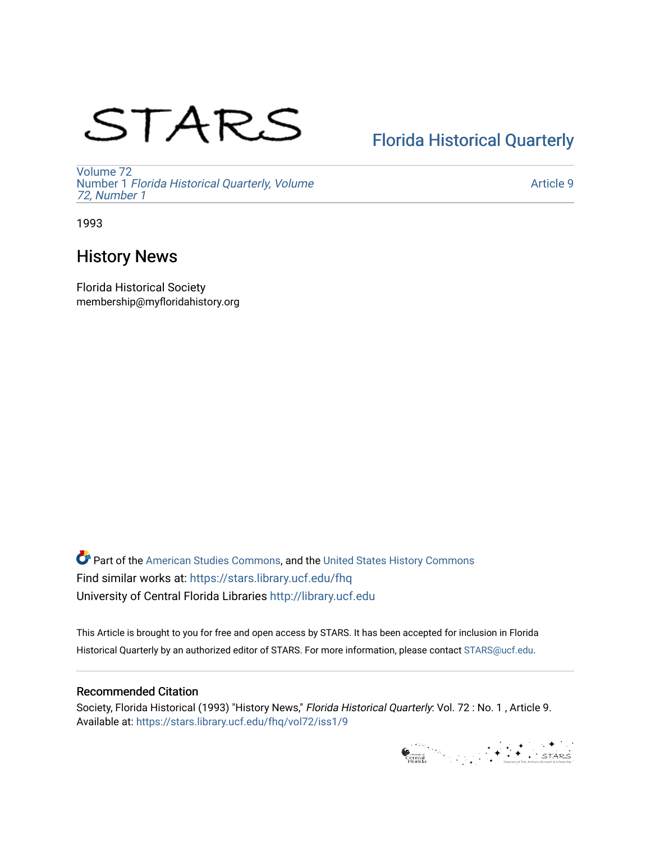# STARS

# [Florida Historical Quarterly](https://stars.library.ucf.edu/fhq)

[Volume 72](https://stars.library.ucf.edu/fhq/vol72) Number 1 [Florida Historical Quarterly, Volume](https://stars.library.ucf.edu/fhq/vol72/iss1)  [72, Number 1](https://stars.library.ucf.edu/fhq/vol72/iss1)

[Article 9](https://stars.library.ucf.edu/fhq/vol72/iss1/9) 

1993

# History News

Florida Historical Society membership@myfloridahistory.org

**C** Part of the [American Studies Commons](http://network.bepress.com/hgg/discipline/439?utm_source=stars.library.ucf.edu%2Ffhq%2Fvol72%2Fiss1%2F9&utm_medium=PDF&utm_campaign=PDFCoverPages), and the United States History Commons Find similar works at: <https://stars.library.ucf.edu/fhq> University of Central Florida Libraries [http://library.ucf.edu](http://library.ucf.edu/) 

This Article is brought to you for free and open access by STARS. It has been accepted for inclusion in Florida Historical Quarterly by an authorized editor of STARS. For more information, please contact [STARS@ucf.edu.](mailto:STARS@ucf.edu)

## Recommended Citation

Society, Florida Historical (1993) "History News," Florida Historical Quarterly: Vol. 72 : No. 1 , Article 9. Available at: [https://stars.library.ucf.edu/fhq/vol72/iss1/9](https://stars.library.ucf.edu/fhq/vol72/iss1/9?utm_source=stars.library.ucf.edu%2Ffhq%2Fvol72%2Fiss1%2F9&utm_medium=PDF&utm_campaign=PDFCoverPages) 

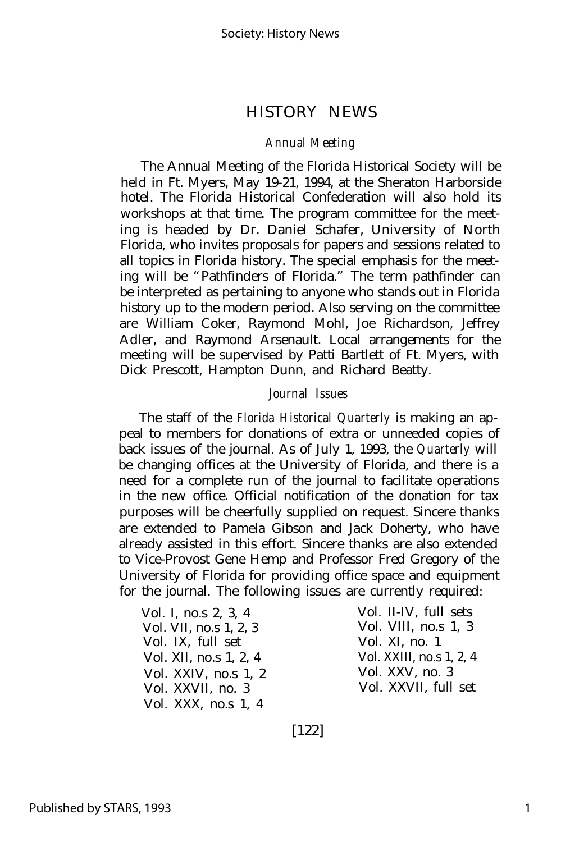#### *Annual Meeting*

The Annual Meeting of the Florida Historical Society will be held in Ft. Myers, May 19-21, 1994, at the Sheraton Harborside hotel. The Florida Historical Confederation will also hold its workshops at that time. The program committee for the meeting is headed by Dr. Daniel Schafer, University of North Florida, who invites proposals for papers and sessions related to all topics in Florida history. The special emphasis for the meeting will be "Pathfinders of Florida." The term pathfinder can be interpreted as pertaining to anyone who stands out in Florida history up to the modern period. Also serving on the committee are William Coker, Raymond Mohl, Joe Richardson, Jeffrey Adler, and Raymond Arsenault. Local arrangements for the meeting will be supervised by Patti Bartlett of Ft. Myers, with Dick Prescott, Hampton Dunn, and Richard Beatty.

#### *Journal Issues*

The staff of the *Florida Historical Quarterly* is making an appeal to members for donations of extra or unneeded copies of back issues of the journal. As of July 1, 1993, the *Quarterly* will be changing offices at the University of Florida, and there is a need for a complete run of the journal to facilitate operations in the new office. Official notification of the donation for tax purposes will be cheerfully supplied on request. Sincere thanks are extended to Pamela Gibson and Jack Doherty, who have already assisted in this effort. Sincere thanks are also extended to Vice-Provost Gene Hemp and Professor Fred Gregory of the University of Florida for providing office space and equipment for the journal. The following issues are currently required:

Vol. I, no.s 2, 3, 4 Vol. II-IV, full sets Vol. VII, no.s 1, 2, 3 Vol. VIII, no.s 1, 3 Vol. IX, full set Vol. XI, no. 1 Vol. XII, no.s 1, 2, 4 Vol. XXIV, no.s 1, 2 Vol. XXVII, no. 3 Vol. XXX, no.s 1, 4

Vol. XXV, no. 3 Vol. XXVII, full set

[122]

1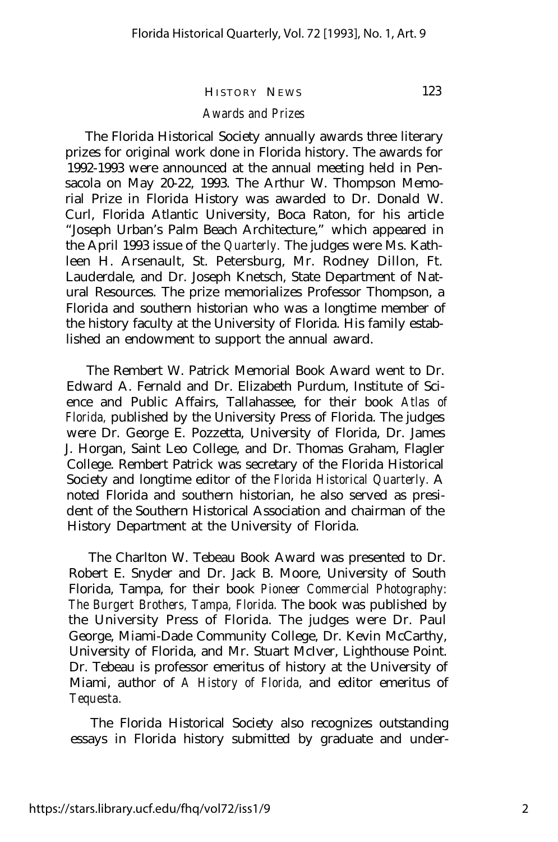## *Awards and Prizes*

The Florida Historical Society annually awards three literary prizes for original work done in Florida history. The awards for 1992-1993 were announced at the annual meeting held in Pensacola on May 20-22, 1993. The Arthur W. Thompson Memorial Prize in Florida History was awarded to Dr. Donald W. Curl, Florida Atlantic University, Boca Raton, for his article "Joseph Urban's Palm Beach Architecture," which appeared in the April 1993 issue of the *Quarterly.* The judges were Ms. Kathleen H. Arsenault, St. Petersburg, Mr. Rodney Dillon, Ft. Lauderdale, and Dr. Joseph Knetsch, State Department of Natural Resources. The prize memorializes Professor Thompson, a Florida and southern historian who was a longtime member of the history faculty at the University of Florida. His family established an endowment to support the annual award.

The Rembert W. Patrick Memorial Book Award went to Dr. Edward A. Fernald and Dr. Elizabeth Purdum, Institute of Science and Public Affairs, Tallahassee, for their book *Atlas of Florida,* published by the University Press of Florida. The judges were Dr. George E. Pozzetta, University of Florida, Dr. James J. Horgan, Saint Leo College, and Dr. Thomas Graham, Flagler College. Rembert Patrick was secretary of the Florida Historical Society and longtime editor of the *Florida Historical Quarterly.* A noted Florida and southern historian, he also served as president of the Southern Historical Association and chairman of the History Department at the University of Florida.

The Charlton W. Tebeau Book Award was presented to Dr. Robert E. Snyder and Dr. Jack B. Moore, University of South Florida, Tampa, for their book *Pioneer Commercial Photography: The Burgert Brothers, Tampa, Florida.* The book was published by the University Press of Florida. The judges were Dr. Paul George, Miami-Dade Community College, Dr. Kevin McCarthy, University of Florida, and Mr. Stuart McIver, Lighthouse Point. Dr. Tebeau is professor emeritus of history at the University of Miami, author of *A History of Florida,* and editor emeritus of *Tequesta.*

The Florida Historical Society also recognizes outstanding essays in Florida history submitted by graduate and under-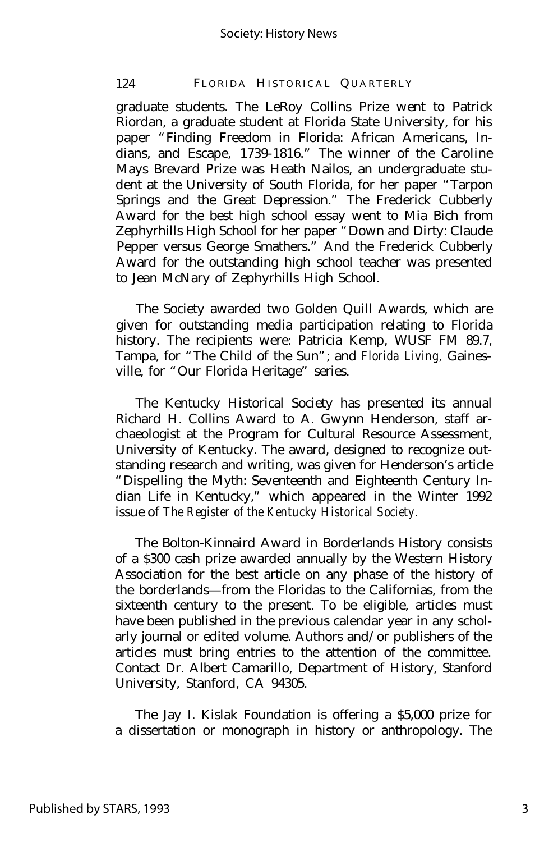#### 124 FLORIDA HISTORICAL QUARTERLY

graduate students. The LeRoy Collins Prize went to Patrick Riordan, a graduate student at Florida State University, for his paper "Finding Freedom in Florida: African Americans, Indians, and Escape, 1739-1816." The winner of the Caroline Mays Brevard Prize was Heath Nailos, an undergraduate student at the University of South Florida, for her paper "Tarpon Springs and the Great Depression." The Frederick Cubberly Award for the best high school essay went to Mia Bich from Zephyrhills High School for her paper "Down and Dirty: Claude Pepper versus George Smathers." And the Frederick Cubberly Award for the outstanding high school teacher was presented to Jean McNary of Zephyrhills High School.

The Society awarded two Golden Quill Awards, which are given for outstanding media participation relating to Florida history. The recipients were: Patricia Kemp, WUSF FM 89.7, Tampa, for "The Child of the Sun"; and *Florida Living,* Gainesville, for "Our Florida Heritage" series.

The Kentucky Historical Society has presented its annual Richard H. Collins Award to A. Gwynn Henderson, staff archaeologist at the Program for Cultural Resource Assessment, University of Kentucky. The award, designed to recognize outstanding research and writing, was given for Henderson's article "Dispelling the Myth: Seventeenth and Eighteenth Century Indian Life in Kentucky," which appeared in the Winter 1992 issue of *The Register of the Kentucky Historical Society.*

The Bolton-Kinnaird Award in Borderlands History consists of a \$300 cash prize awarded annually by the Western History Association for the best article on any phase of the history of the borderlands— from the Floridas to the Californias, from the sixteenth century to the present. To be eligible, articles must have been published in the previous calendar year in any scholarly journal or edited volume. Authors and/or publishers of the articles must bring entries to the attention of the committee. Contact Dr. Albert Camarillo, Department of History, Stanford University, Stanford, CA 94305.

The Jay I. Kislak Foundation is offering a \$5,000 prize for a dissertation or monograph in history or anthropology. The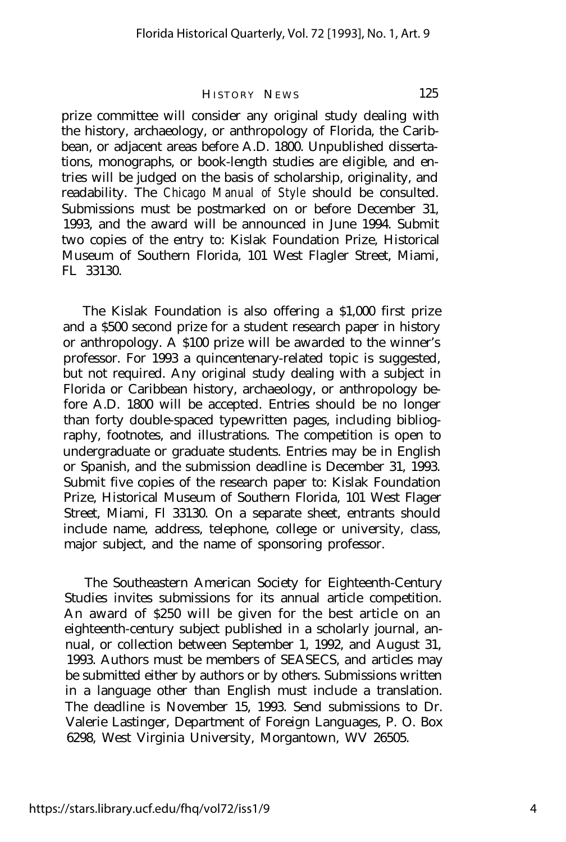prize committee will consider any original study dealing with the history, archaeology, or anthropology of Florida, the Caribbean, or adjacent areas before A.D. 1800. Unpublished dissertations, monographs, or book-length studies are eligible, and entries will be judged on the basis of scholarship, originality, and readability. The *Chicago Manual of Style* should be consulted. Submissions must be postmarked on or before December 31, 1993, and the award will be announced in June 1994. Submit two copies of the entry to: Kislak Foundation Prize, Historical Museum of Southern Florida, 101 West Flagler Street, Miami, FL 33130.

The Kislak Foundation is also offering a \$1,000 first prize and a \$500 second prize for a student research paper in history or anthropology. A \$100 prize will be awarded to the winner's professor. For 1993 a quincentenary-related topic is suggested, but not required. Any original study dealing with a subject in Florida or Caribbean history, archaeology, or anthropology before A.D. 1800 will be accepted. Entries should be no longer than forty double-spaced typewritten pages, including bibliography, footnotes, and illustrations. The competition is open to undergraduate or graduate students. Entries may be in English or Spanish, and the submission deadline is December 31, 1993. Submit five copies of the research paper to: Kislak Foundation Prize, Historical Museum of Southern Florida, 101 West Flager Street, Miami, Fl 33130. On a separate sheet, entrants should include name, address, telephone, college or university, class, major subject, and the name of sponsoring professor.

The Southeastern American Society for Eighteenth-Century Studies invites submissions for its annual article competition. An award of \$250 will be given for the best article on an eighteenth-century subject published in a scholarly journal, annual, or collection between September 1, 1992, and August 31, 1993. Authors must be members of SEASECS, and articles may be submitted either by authors or by others. Submissions written in a language other than English must include a translation. The deadline is November 15, 1993. Send submissions to Dr. Valerie Lastinger, Department of Foreign Languages, P. O. Box 6298, West Virginia University, Morgantown, WV 26505.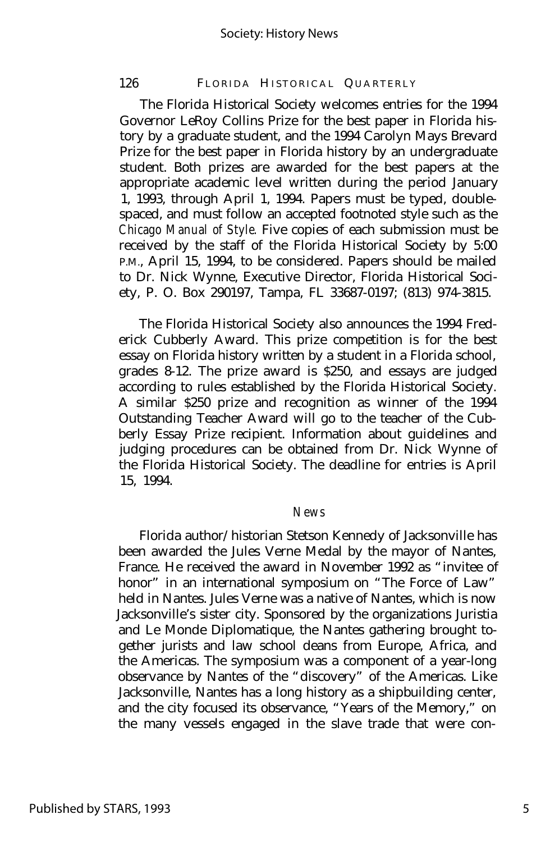#### 126 FLORIDA HISTORICAL QUARTERLY

The Florida Historical Society welcomes entries for the 1994 Governor LeRoy Collins Prize for the best paper in Florida history by a graduate student, and the 1994 Carolyn Mays Brevard Prize for the best paper in Florida history by an undergraduate student. Both prizes are awarded for the best papers at the appropriate academic level written during the period January 1, 1993, through April 1, 1994. Papers must be typed, doublespaced, and must follow an accepted footnoted style such as the *Chicago Manual of Style.* Five copies of each submission must be received by the staff of the Florida Historical Society by 5:00 P.M., April 15, 1994, to be considered. Papers should be mailed to Dr. Nick Wynne, Executive Director, Florida Historical Society, P. O. Box 290197, Tampa, FL 33687-0197; (813) 974-3815.

The Florida Historical Society also announces the 1994 Frederick Cubberly Award. This prize competition is for the best essay on Florida history written by a student in a Florida school, grades 8-12. The prize award is \$250, and essays are judged according to rules established by the Florida Historical Society. A similar \$250 prize and recognition as winner of the 1994 Outstanding Teacher Award will go to the teacher of the Cubberly Essay Prize recipient. Information about guidelines and judging procedures can be obtained from Dr. Nick Wynne of the Florida Historical Society. The deadline for entries is April 15, 1994.

#### *News*

Florida author/historian Stetson Kennedy of Jacksonville has been awarded the Jules Verne Medal by the mayor of Nantes, France. He received the award in November 1992 as "invitee of honor" in an international symposium on "The Force of Law" held in Nantes. Jules Verne was a native of Nantes, which is now Jacksonville's sister city. Sponsored by the organizations Juristia and Le Monde Diplomatique, the Nantes gathering brought together jurists and law school deans from Europe, Africa, and the Americas. The symposium was a component of a year-long observance by Nantes of the "discovery" of the Americas. Like Jacksonville, Nantes has a long history as a shipbuilding center, and the city focused its observance, "Years of the Memory," on the many vessels engaged in the slave trade that were con-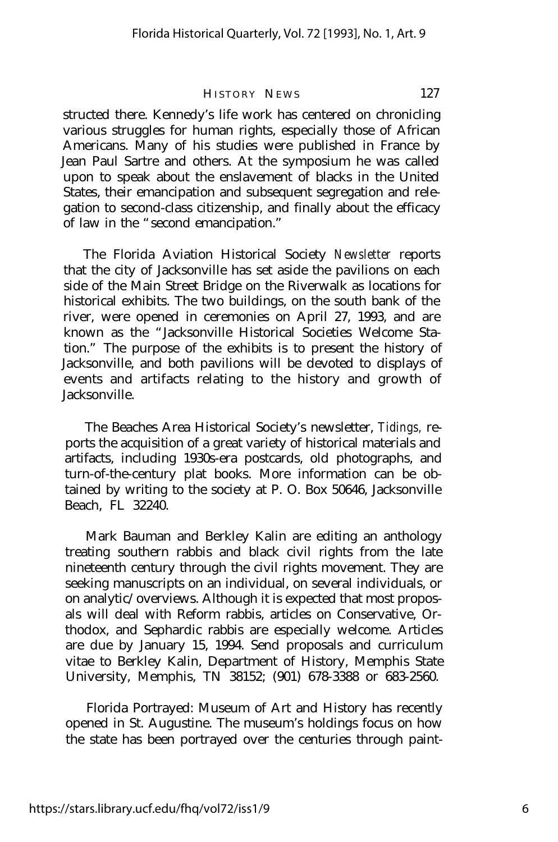structed there. Kennedy's life work has centered on chronicling various struggles for human rights, especially those of African Americans. Many of his studies were published in France by Jean Paul Sartre and others. At the symposium he was called upon to speak about the enslavement of blacks in the United States, their emancipation and subsequent segregation and relegation to second-class citizenship, and finally about the efficacy of law in the "second emancipation."

The Florida Aviation Historical Society *Newsletter* reports that the city of Jacksonville has set aside the pavilions on each side of the Main Street Bridge on the Riverwalk as locations for historical exhibits. The two buildings, on the south bank of the river, were opened in ceremonies on April 27, 1993, and are known as the "Jacksonville Historical Societies Welcome Station." The purpose of the exhibits is to present the history of Jacksonville, and both pavilions will be devoted to displays of events and artifacts relating to the history and growth of Jacksonville.

The Beaches Area Historical Society's newsletter, *Tidings,* reports the acquisition of a great variety of historical materials and artifacts, including 1930s-era postcards, old photographs, and turn-of-the-century plat books. More information can be obtained by writing to the society at P. O. Box 50646, Jacksonville Beach, FL 32240.

Mark Bauman and Berkley Kalin are editing an anthology treating southern rabbis and black civil rights from the late nineteenth century through the civil rights movement. They are seeking manuscripts on an individual, on several individuals, or on analytic/overviews. Although it is expected that most proposals will deal with Reform rabbis, articles on Conservative, Orthodox, and Sephardic rabbis are especially welcome. Articles are due by January 15, 1994. Send proposals and curriculum vitae to Berkley Kalin, Department of History, Memphis State University, Memphis, TN 38152; (901) 678-3388 or 683-2560.

Florida Portrayed: Museum of Art and History has recently opened in St. Augustine. The museum's holdings focus on how the state has been portrayed over the centuries through paint-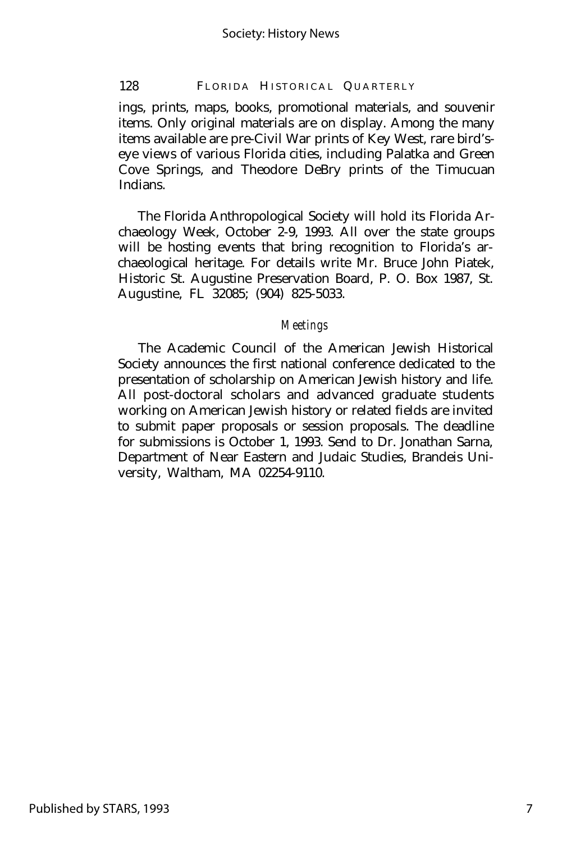#### 128 FLORIDA HISTORICAL QUARTERLY

ings, prints, maps, books, promotional materials, and souvenir items. Only original materials are on display. Among the many items available are pre-Civil War prints of Key West, rare bird'seye views of various Florida cities, including Palatka and Green Cove Springs, and Theodore DeBry prints of the Timucuan Indians.

The Florida Anthropological Society will hold its Florida Archaeology Week, October 2-9, 1993. All over the state groups will be hosting events that bring recognition to Florida's archaeological heritage. For details write Mr. Bruce John Piatek, Historic St. Augustine Preservation Board, P. O. Box 1987, St. Augustine, FL 32085; (904) 825-5033.

#### *Meetings*

The Academic Council of the American Jewish Historical Society announces the first national conference dedicated to the presentation of scholarship on American Jewish history and life. All post-doctoral scholars and advanced graduate students working on American Jewish history or related fields are invited to submit paper proposals or session proposals. The deadline for submissions is October 1, 1993. Send to Dr. Jonathan Sarna, Department of Near Eastern and Judaic Studies, Brandeis University, Waltham, MA 02254-9110.